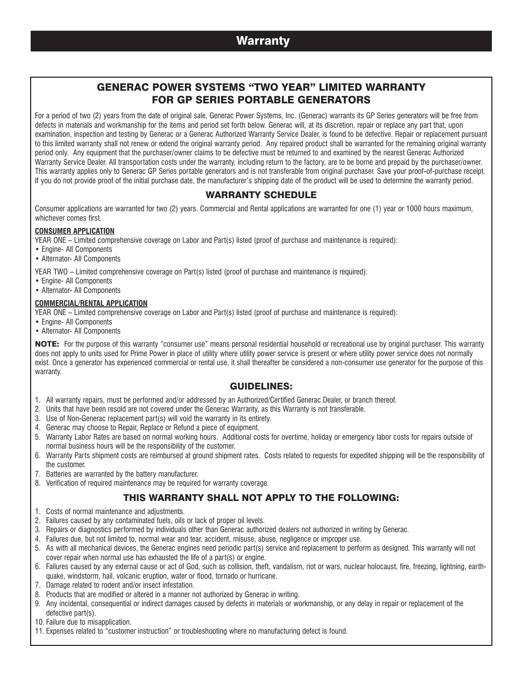# **Warranty**

# GENERAC POWER SYSTEMS "TWO YEAR" LIMITED WARRANTY FOR GP SERIES PORTABLE GENERATORS

For a period of two (2) years from the date of original sale, Generac Power Systems, Inc. (Generac) warrants its GP Series generators will be free from defects in materials and workmanship for the items and period set forth below. Generac will, at its discretion, repair or replace any part that, upon examination, inspection and testing by Generac or a Generac Authorized Warranty Service Dealer, is found to be defective. Repair or replacement pursuant to this limited warranty shall not renew or extend the original warranty period. Any repaired product shall be warranted for the remaining original warranty period only. Any equipment that the purchaser/owner claims to be defective must be returned to and examined by the nearest Generac Authorized Warranty Service Dealer. All transportation costs under the warranty, including return to the factory, are to be borne and prepaid by the purchaser/owner. This warranty applies only to Generac GP Series portable generators and is not transferable from original purchaser. Save your proof-of-purchase receipt. If you do not provide proof of the initial purchase date, the manufacturer's shipping date of the product will be used to determine the warranty period.

## WARRANTY SCHEDULE

Consumer applications are warranted for two (2) years. Commercial and Rental applications are warranted for one (1) year or 1000 hours maximum, whichever comes first.

### **CONSUMER APPLICATION**

YEAR ONE – Limited comprehensive coverage on Labor and Part(s) listed (proof of purchase and maintenance is required):

- Engine- All Components
- Alternator- All Components

YEAR TWO – Limited comprehensive coverage on Part(s) listed (proof of purchase and maintenance is required):

- Engine- All Components
- Alternator- All Components

### **COMMERCIAL/RENTAL APPLICATION**

YEAR ONE – Limited comprehensive coverage on Labor and Part(s) listed (proof of purchase and maintenance is required):

- Engine- All Components
- Alternator- All Components

NOTE: For the purpose of this warranty "consumer use" means personal residential household or recreational use by original purchaser. This warranty does not apply to units used for Prime Power in place of utility where utility power service is present or where utility power service does not normally exist. Once a generator has experienced commercial or rental use, it shall thereafter be considered a non-consumer use generator for the purpose of this warranty.

### GUIDELINES:

- 1. All warranty repairs, must be performed and/or addressed by an Authorized/Certified Generac Dealer, or branch thereof.
- 2. Units that have been resold are not covered under the Generac Warranty, as this Warranty is not transferable.
- 3. Use of Non-Generac replacement part(s) will void the warranty in its entirety.
- 4. Generac may choose to Repair, Replace or Refund a piece of equipment.
- 5. Warranty Labor Rates are based on normal working hours. Additional costs for overtime, holiday or emergency labor costs for repairs outside of normal business hours will be the responsibility of the customer.
- 6. Warranty Parts shipment costs are reimbursed at ground shipment rates. Costs related to requests for expedited shipping will be the responsibility of the customer.
- 7. Batteries are warranted by the battery manufacturer.
- 8. Verification of required maintenance may be required for warranty coverage.

## THIS WARRANTY SHALL NOT APPLY TO THE FOLLOWING:

- 1. Costs of normal maintenance and adjustments.
- 2. Failures caused by any contaminated fuels, oils or lack of proper oil levels.
- 3. Repairs or diagnostics performed by individuals other than Generac authorized dealers not authorized in writing by Generac.
- 4. Failures due, but not limited to, normal wear and tear, accident, misuse, abuse, negligence or improper use.
- 5. As with all mechanical devices, the Generac engines need periodic part(s) service and replacement to perform as designed. This warranty will not cover repair when normal use has exhausted the life of a part(s) or engine.
- 6. Failures caused by any external cause or act of God, such as collision, theft, vandalism, riot or wars, nuclear holocaust, fire, freezing, lightning, earthquake, windstorm, hail, volcanic eruption, water or flood, tornado or hurricane.
- 7. Damage related to rodent and/or insect infestation.
- 8. Products that are modified or altered in a manner not authorized by Generac in writing.
- 9. Any incidental, consequential or indirect damages caused by defects in materials or workmanship, or any delay in repair or replacement of the defective part(s).
- 10. Failure due to misapplication.
- 11. Expenses related to "customer instruction" or troubleshooting where no manufacturing defect is found.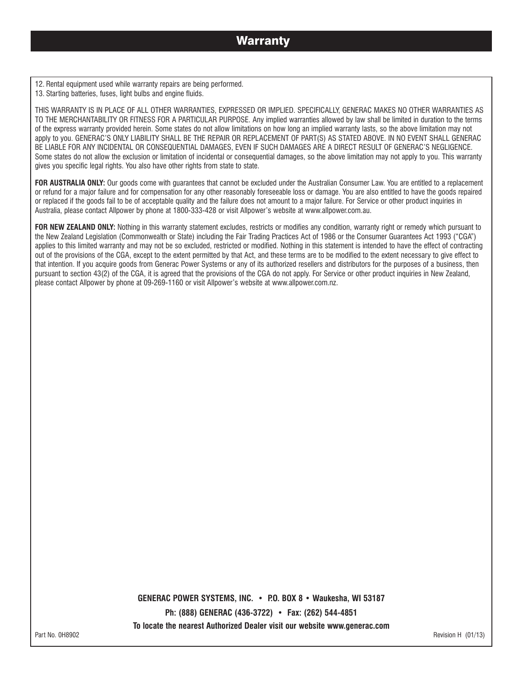12. Rental equipment used while warranty repairs are being performed. 13. Starting batteries, fuses, light bulbs and engine fluids.

THIS WARRANTY IS IN PLACE OF ALL OTHER WARRANTIES, EXPRESSED OR IMPLIED. SPECIFICALLY, GENERAC MAKES NO OTHER WARRANTIES AS TO THE MERCHANTABILITY OR FITNESS FOR A PARTICULAR PURPOSE. Any implied warranties allowed by law shall be limited in duration to the terms of the express warranty provided herein. Some states do not allow limitations on how long an implied warranty lasts, so the above limitation may not apply to you. GENERAC'S ONLY LIABILITY SHALL BE THE REPAIR OR REPLACEMENT OF PART(S) AS STATED ABOVE. IN NO EVENT SHALL GENERAC BE LIABLE FOR ANY INCIDENTAL OR CONSEQUENTIAL DAMAGES, EVEN IF SUCH DAMAGES ARE A DIRECT RESULT OF GENERAC'S NEGLIGENCE. Some states do not allow the exclusion or limitation of incidental or consequential damages, so the above limitation may not apply to you. This warranty gives you specific legal rights. You also have other rights from state to state.

FOR AUSTRALIA ONLY: Our goods come with guarantees that cannot be excluded under the Australian Consumer Law. You are entitled to a replacement or refund for a major failure and for compensation for any other reasonably foreseeable loss or damage. You are also entitled to have the goods repaired or replaced if the goods fail to be of acceptable quality and the failure does not amount to a major failure. For Service or other product inquiries in Australia, please contact Allpower by phone at 1800-333-428 or visit Allpower's website at www.allpower.com.au.

FOR NEW ZEALAND ONLY: Nothing in this warranty statement excludes, restricts or modifies any condition, warranty right or remedy which pursuant to the New Zealand Legislation (Commonwealth or State) including the Fair Trading Practices Act of 1986 or the Consumer Guarantees Act 1993 ("CGA") applies to this limited warranty and may not be so excluded, restricted or modified. Nothing in this statement is intended to have the effect of contracting out of the provisions of the CGA, except to the extent permitted by that Act, and these terms are to be modified to the extent necessary to give effect to that intention. If you acquire goods from Generac Power Systems or any of its authorized resellers and distributors for the purposes of a business, then pursuant to section 43(2) of the CGA, it is agreed that the provisions of the CGA do not apply. For Service or other product inquiries in New Zealand, please contact Allpower by phone at 09-269-1160 or visit Allpower's website at www.allpower.com.nz.

**GENERAC POWER SYSTEMS, INC. • P.O. BOX 8 • Waukesha, WI 53187**

**Ph: (888) GENERAC (436-3722) • Fax: (262) 544-4851**

**To locate the nearest Authorized Dealer visit our website www.generac.com**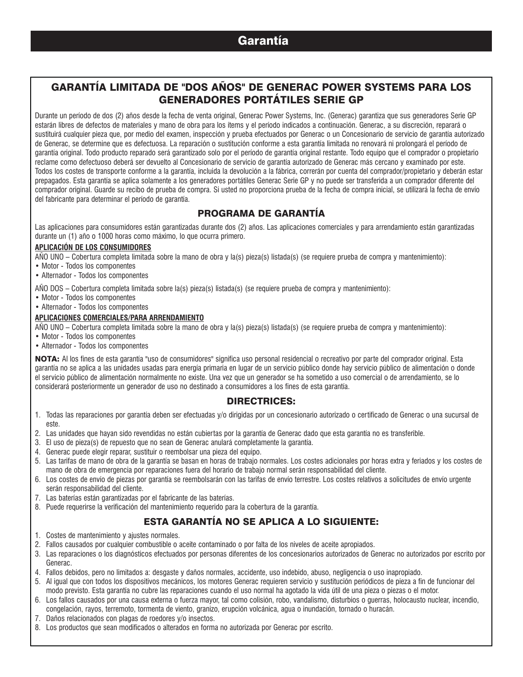# Garantía

# GARANTÍA LIMITADA DE "DOS AÑOS" DE GENERAC POWER SYSTEMS PARA LOS GENERADORES PORTÁTILES SERIE GP

Durante un período de dos (2) años desde la fecha de venta original, Generac Power Systems, Inc. (Generac) garantiza que sus generadores Serie GP estarán libres de defectos de materiales y mano de obra para los ítems y el período indicados a continuación. Generac, a su discreción, reparará o sustituirá cualquier pieza que, por medio del examen, inspección y prueba efectuados por Generac o un Concesionario de servicio de garantía autorizado de Generac, se determine que es defectuosa. La reparación o sustitución conforme a esta garantía limitada no renovará ni prolongará el período de garantía original. Todo producto reparado será garantizado solo por el período de garantía original restante. Todo equipo que el comprador o propietario reclame como defectuoso deberá ser devuelto al Concesionario de servicio de garantía autorizado de Generac más cercano y examinado por este. Todos los costes de transporte conforme a la garantía, incluida la devolución a la fábrica, correrán por cuenta del comprador/propietario y deberán estar prepagados. Esta garantía se aplica solamente a los generadores portátiles Generac Serie GP y no puede ser transferida a un comprador diferente del comprador original. Guarde su recibo de prueba de compra. Si usted no proporciona prueba de la fecha de compra inicial, se utilizará la fecha de envío del fabricante para determinar el período de garantía.

# PROGRAMA DE GARANTÍA

Las aplicaciones para consumidores están garantizadas durante dos (2) años. Las aplicaciones comerciales y para arrendamiento están garantizadas durante un (1) año o 1000 horas como máximo, lo que ocurra primero.

### **APLICACIÓN DE LOS CONSUMIDORES**

AÑO UNO – Cobertura completa limitada sobre la mano de obra y la(s) pieza(s) listada(s) (se requiere prueba de compra y mantenimiento):

- Motor Todos los componentes
- Alternador Todos los componentes

AÑO DOS – Cobertura completa limitada sobre la(s) pieza(s) listada(s) (se requiere prueba de compra y mantenimiento):

- Motor Todos los componentes
- Alternador Todos los componentes

### **APLICACIONES COMERCIALES/PARA ARRENDAMIENTO**

AÑO UNO – Cobertura completa limitada sobre la mano de obra y la(s) pieza(s) listada(s) (se requiere prueba de compra y mantenimiento):

- Motor Todos los componentes
- Alternador Todos los componentes

NOTA: Al los fines de esta garantía "uso de consumidores" significa uso personal residencial o recreativo por parte del comprador original. Esta garantía no se aplica a las unidades usadas para energía primaria en lugar de un servicio público donde hay servicio público de alimentación o donde el servicio público de alimentación normalmente no existe. Una vez que un generador se ha sometido a uso comercial o de arrendamiento, se lo considerará posteriormente un generador de uso no destinado a consumidores a los fines de esta garantía.

### DIRECTRICES:

- 1. Todas las reparaciones por garantía deben ser efectuadas y/o dirigidas por un concesionario autorizado o certificado de Generac o una sucursal de este.
- 2. Las unidades que hayan sido revendidas no están cubiertas por la garantía de Generac dado que esta garantía no es transferible.
- 3. El uso de pieza(s) de repuesto que no sean de Generac anulará completamente la garantía.
- 4. Generac puede elegir reparar, sustituir o reembolsar una pieza del equipo.
- 5. Las tarifas de mano de obra de la garantía se basan en horas de trabajo normales. Los costes adicionales por horas extra y feriados y los costes de mano de obra de emergencia por reparaciones fuera del horario de trabajo normal serán responsabilidad del cliente.
- 6. Los costes de envío de piezas por garantía se reembolsarán con las tarifas de envío terrestre. Los costes relativos a solicitudes de envío urgente serán responsabilidad del cliente.
- 7. Las baterías están garantizadas por el fabricante de las baterías.
- 8. Puede requerirse la verificación del mantenimiento requerido para la cobertura de la garantía.

# ESTA GARANTÍA NO SE APLICA A LO SIGUIENTE:

- 1. Costes de mantenimiento y ajustes normales.
- 2. Fallos causados por cualquier combustible o aceite contaminado o por falta de los niveles de aceite apropiados.
- 3. Las reparaciones o los diagnósticos efectuados por personas diferentes de los concesionarios autorizados de Generac no autorizados por escrito por Generac.
- 4. Fallos debidos, pero no limitados a: desgaste y daños normales, accidente, uso indebido, abuso, negligencia o uso inapropiado.
- 5. Al igual que con todos los dispositivos mecánicos, los motores Generac requieren servicio y sustitución periódicos de pieza a fin de funcionar del modo previsto. Esta garantía no cubre las reparaciones cuando el uso normal ha agotado la vida útil de una pieza o piezas o el motor.
- 6. Los fallos causados por una causa externa o fuerza mayor, tal como colisión, robo, vandalismo, disturbios o guerras, holocausto nuclear, incendio, congelación, rayos, terremoto, tormenta de viento, granizo, erupción volcánica, agua o inundación, tornado o huracán.
- 7. Daños relacionados con plagas de roedores y/o insectos.
- 8. Los productos que sean modificados o alterados en forma no autorizada por Generac por escrito.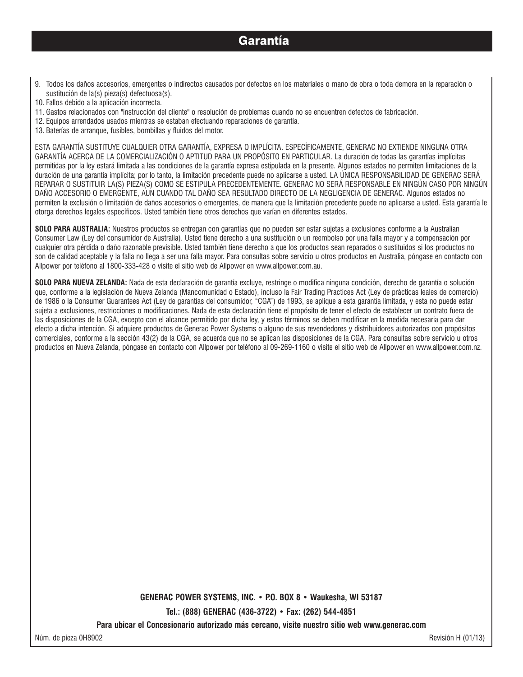- 9. Todos los daños accesorios, emergentes o indirectos causados por defectos en los materiales o mano de obra o toda demora en la reparación o sustitución de la(s) pieza(s) defectuosa(s).
- 10. Fallos debido a la aplicación incorrecta.
- 11. Gastos relacionados con "instrucción del cliente" o resolución de problemas cuando no se encuentren defectos de fabricación.
- 12. Equipos arrendados usados mientras se estaban efectuando reparaciones de garantía.
- 13. Baterías de arranque, fusibles, bombillas y fluidos del motor.

ESTA GARANTÍA SUSTITUYE CUALQUIER OTRA GARANTÍA, EXPRESA O IMPLÍCITA. ESPECÍFICAMENTE, GENERAC NO EXTIENDE NINGUNA OTRA GARANTÍA ACERCA DE LA COMERCIALIZACIÓN O APTITUD PARA UN PROPÓSITO EN PARTICULAR. La duración de todas las garantías implícitas permitidas por la ley estará limitada a las condiciones de la garantía expresa estipulada en la presente. Algunos estados no permiten limitaciones de la duración de una garantía implícita; por lo tanto, la limitación precedente puede no aplicarse a usted. LA ÚNICA RESPONSABILIDAD DE GENERAC SERÁ REPARAR O SUSTITUIR LA(S) PIEZA(S) COMO SE ESTIPULA PRECEDENTEMENTE. GENERAC NO SERÁ RESPONSABLE EN NINGÚN CASO POR NINGÚN DAÑO ACCESORIO O EMERGENTE, AUN CUANDO TAL DAÑO SEA RESULTADO DIRECTO DE LA NEGLIGENCIA DE GENERAC. Algunos estados no permiten la exclusión o limitación de daños accesorios o emergentes, de manera que la limitación precedente puede no aplicarse a usted. Esta garantía le otorga derechos legales específicos. Usted también tiene otros derechos que varían en diferentes estados.

**SOLO PARA AUSTRALIA:** Nuestros productos se entregan con garantías que no pueden ser estar sujetas a exclusiones conforme a la Australian Consumer Law (Ley del consumidor de Australia). Usted tiene derecho a una sustitución o un reembolso por una falla mayor y a compensación por cualquier otra pérdida o daño razonable previsible. Usted también tiene derecho a que los productos sean reparados o sustituidos si los productos no son de calidad aceptable y la falla no llega a ser una falla mayor. Para consultas sobre servicio u otros productos en Australia, póngase en contacto con Allpower por teléfono al 1800-333-428 o visite el sitio web de Allpower en www.allpower.com.au.

**SOLO PARA NUEVA ZELANDA:** Nada de esta declaración de garantía excluye, restringe o modifica ninguna condición, derecho de garantía o solución que, conforme a la legislación de Nueva Zelanda (Mancomunidad o Estado), incluso la Fair Trading Practices Act (Ley de prácticas leales de comercio) de 1986 o la Consumer Guarantees Act (Ley de garantías del consumidor, "CGA") de 1993, se aplique a esta garantía limitada, y esta no puede estar sujeta a exclusiones, restricciones o modificaciones. Nada de esta declaración tiene el propósito de tener el efecto de establecer un contrato fuera de las disposiciones de la CGA, excepto con el alcance permitido por dicha ley, y estos términos se deben modificar en la medida necesaria para dar efecto a dicha intención. Si adquiere productos de Generac Power Systems o alguno de sus revendedores y distribuidores autorizados con propósitos comerciales, conforme a la sección 43(2) de la CGA, se acuerda que no se aplican las disposiciones de la CGA. Para consultas sobre servicio u otros productos en Nueva Zelanda, póngase en contacto con Allpower por teléfono al 09-269-1160 o visite el sitio web de Allpower en www.allpower.com.nz.

**GENERAC POWER SYSTEMS, INC. • P.O. BOX 8 • Waukesha, WI 53187**

**Tel.: (888) GENERAC (436-3722) • Fax: (262) 544-4851**

**Para ubicar el Concesionario autorizado más cercano, visite nuestro sitio web www.generac.com**

Núm. de pieza 0H8902 Revisión H (01/13)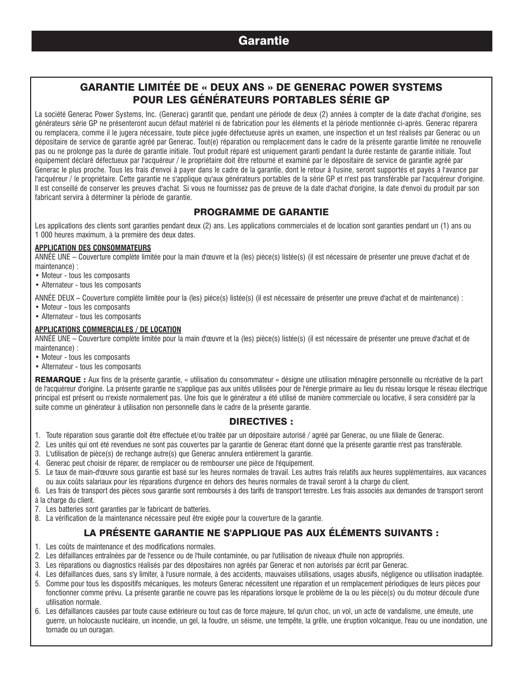# **Garantie**

# GARANTIE LIMITÉE DE « DEUX ANS » DE GENERAC POWER SYSTEMS POUR LES GÉNÉRATEURS PORTABLES SÉRIE GP

La société Generac Power Systems, Inc. (Generac) garantit que, pendant une période de deux (2) années à compter de la date d'achat d'origine, ses générateurs série GP ne présenteront aucun défaut matériel ni de fabrication pour les éléments et la période mentionnée ci-après. Generac réparera ou remplacera, comme il le jugera nécessaire, toute pièce jugée défectueuse après un examen, une inspection et un test réalisés par Generac ou un dépositaire de service de garantie agréé par Generac. Tout(e) réparation ou remplacement dans le cadre de la présente garantie limitée ne renouvelle pas ou ne prolonge pas la durée de garantie initiale. Tout produit réparé est uniquement garanti pendant la durée restante de garantie initiale. Tout équipement déclaré défectueux par l'acquéreur / le propriétaire doit être retourné et examiné par le dépositaire de service de garantie agréé par Generac le plus proche. Tous les frais d'envoi à payer dans le cadre de la garantie, dont le retour à l'usine, seront supportés et payés à l'avance par l'acquéreur / le propriétaire. Cette garantie ne s'applique qu'aux générateurs portables de la série GP et n'est pas transférable par l'acquéreur d'origine. Il est conseillé de conserver les preuves d'achat. Si vous ne fournissez pas de preuve de la date d'achat d'origine, la date d'envoi du produit par son fabricant servira à déterminer la période de garantie.

## PROGRAMME DE GARANTIE

Les applications des clients sont garanties pendant deux (2) ans. Les applications commerciales et de location sont garanties pendant un (1) ans ou 1 000 heures maximum, à la première des deux dates.

### **APPLICATION DES CONSOMMATEURS**

ANNÉE UNE – Couverture complète limitée pour la main d'œuvre et la (les) pièce(s) listée(s) (il est nécessaire de présenter une preuve d'achat et de maintenance) :

- Moteur tous les composants
- Alternateur tous les composants

ANNÉE DEUX – Couverture complète limitée pour la (les) pièce(s) listée(s) (il est nécessaire de présenter une preuve d'achat et de maintenance) :

- Moteur tous les composants
- Alternateur tous les composants

### **APPLICATIONS COMMERCIALES / DE LOCATION**

ANNÉE UNE – Couverture complète limitée pour la main d'œuvre et la (les) pièce(s) listée(s) (il est nécessaire de présenter une preuve d'achat et de maintenance) :

- Moteur tous les composants
- Alternateur tous les composants

REMARQUE : Aux fins de la présente garantie, « utilisation du consommateur » désigne une utilisation ménagère personnelle ou récréative de la part de l'acquéreur d'origine. La présente garantie ne s'applique pas aux unités utilisées pour de l'énergie primaire au lieu du réseau lorsque le réseau électrique principal est présent ou n'existe normalement pas. Une fois que le générateur a été utilisé de manière commerciale ou locative, il sera considéré par la suite comme un générateur à utilisation non personnelle dans le cadre de la présente garantie.

### DIRECTIVES :

- 1. Toute réparation sous garantie doit être effectuée et/ou traitée par un dépositaire autorisé / agréé par Generac, ou une filiale de Generac.
- 2. Les unités qui ont été revendues ne sont pas couvertes par la garantie de Generac étant donné que la présente garantie n'est pas transférable.
- 3. L'utilisation de pièce(s) de rechange autre(s) que Generac annulera entièrement la garantie.
- 4. Generac peut choisir de réparer, de remplacer ou de rembourser une pièce de l'équipement.
- 5. Le taux de main-d'œuvre sous garantie est basé sur les heures normales de travail. Les autres frais relatifs aux heures supplémentaires, aux vacances ou aux coûts salariaux pour les réparations d'urgence en dehors des heures normales de travail seront à la charge du client.
- 6. Les frais de transport des pièces sous garantie sont remboursés à des tarifs de transport terrestre. Les frais associés aux demandes de transport seront à la charge du client.
- 7. Les batteries sont garanties par le fabricant de batteries.
- 8. La vérification de la maintenance nécessaire peut être exigée pour la couverture de la garantie.

## LA PRÉSENTE GARANTIE NE S'APPLIQUE PAS AUX ÉLÉMENTS SUIVANTS :

- 1. Les coûts de maintenance et des modifications normales.
- 2. Les défaillances entraînées par de l'essence ou de l'huile contaminée, ou par l'utilisation de niveaux d'huile non appropriés.
- 3. Les réparations ou diagnostics réalisés par des dépositaires non agréés par Generac et non autorisés par écrit par Generac.
- 4. Les défaillances dues, sans s'y limiter, à l'usure normale, à des accidents, mauvaises utilisations, usages abusifs, négligence ou utilisation inadaptée.
- 5. Comme pour tous les dispositifs mécaniques, les moteurs Generac nécessitent une réparation et un remplacement périodiques de leurs pièces pour fonctionner comme prévu. La présente garantie ne couvre pas les réparations lorsque le problème de la ou les pièce(s) ou du moteur découle d'une utilisation normale.
- 6. Les défaillances causées par toute cause extérieure ou tout cas de force majeure, tel qu'un choc, un vol, un acte de vandalisme, une émeute, une guerre, un holocauste nucléaire, un incendie, un gel, la foudre, un séisme, une tempête, la grêle, une éruption volcanique, l'eau ou une inondation, une tornade ou un ouragan.